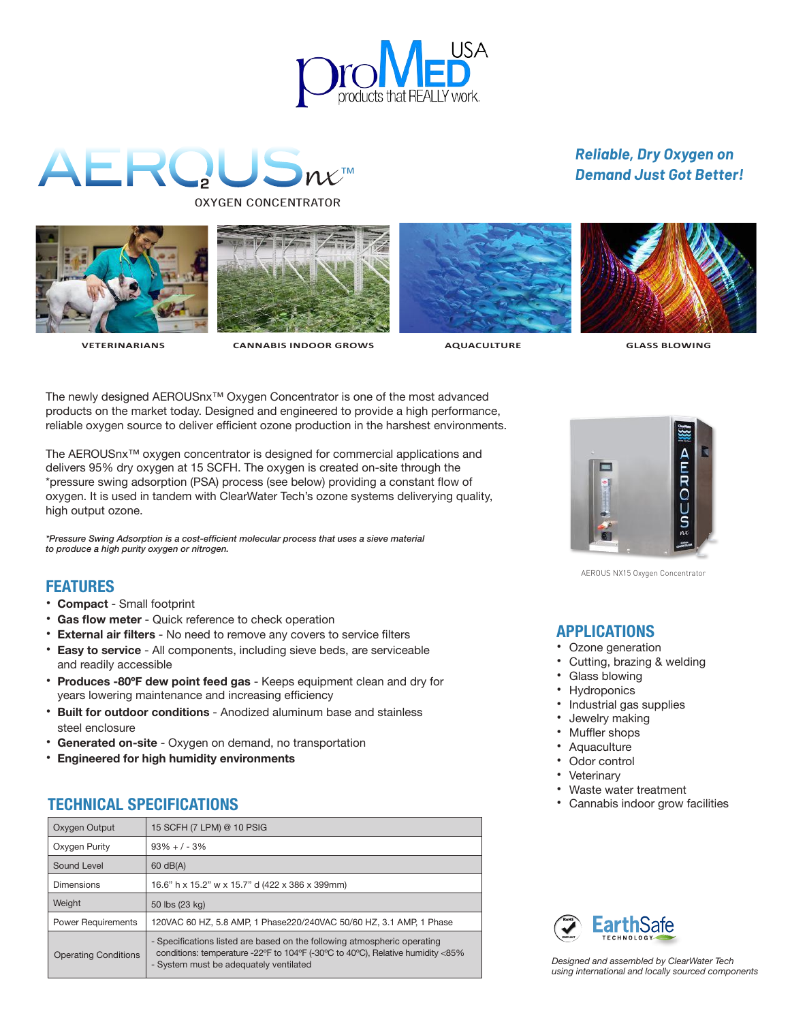

# AERQUS ™ OXYGEN CONCENTRATOR











 **VETERINARIANS CANNABIS INDOOR GROWS AQUACULTURE GLASS BLOWING** 

The newly designed AEROUSnx™ Oxygen Concentrator is one of the most advanced products on the market today. Designed and engineered to provide a high performance, reliable oxygen source to deliver efficient ozone production in the harshest environments.

The AEROUSnx™ oxygen concentrator is designed for commercial applications and delivers 95% dry oxygen at 15 SCFH. The oxygen is created on-site through the \*pressure swing adsorption (PSA) process (see below) providing a constant flow of oxygen. It is used in tandem with ClearWater Tech's ozone systems deliverying quality, high output ozone.

*\*Pressure Swing Adsorption is a cost-efficient molecular process that uses a sieve material to produce a high purity oxygen or nitrogen.*

## **FEATURES**

- **Compact** Small footprint
- **Gas flow meter** Quick reference to check operation
- **External air filters** No need to remove any covers to service filters
- **Easy to service** All components, including sieve beds, are serviceable and readily accessible
- **Produces -80ºF dew point feed gas** Keeps equipment clean and dry for years lowering maintenance and increasing efficiency
- **Built for outdoor conditions** Anodized aluminum base and stainless steel enclosure
- **Generated on-site** Oxygen on demand, no transportation
- **Engineered for high humidity environments**

## **TECHNICAL SPECIFICATIONS**

| Oxygen Output               | 15 SCFH (7 LPM) @ 10 PSIG                                                                                                                                                                            |
|-----------------------------|------------------------------------------------------------------------------------------------------------------------------------------------------------------------------------------------------|
| Oxygen Purity               | $93\% + 1 - 3\%$                                                                                                                                                                                     |
| Sound Level                 | 60 dB(A)                                                                                                                                                                                             |
| Dimensions                  | 16.6" h x 15.2" w x 15.7" d (422 x 386 x 399mm)                                                                                                                                                      |
| Weight                      | 50 lbs (23 kg)                                                                                                                                                                                       |
| <b>Power Requirements</b>   | 120VAC 60 HZ, 5.8 AMP, 1 Phase220/240VAC 50/60 HZ, 3.1 AMP, 1 Phase                                                                                                                                  |
| <b>Operating Conditions</b> | - Specifications listed are based on the following atmospheric operating<br>conditions: temperature -22°F to 104°F (-30°C to 40°C), Relative humidity <85%<br>- System must be adequately ventilated |



AEROUS NX15 Oxygen Concentrator

## **APPLICATIONS**

- Ozone generation
- Cutting, brazing & welding
- Glass blowing
- Hydroponics
- Industrial gas supplies
- Jewelry making
- Muffler shops
- **Aquaculture**
- Odor control
- **Veterinary**
- Waste water treatment
- Cannabis indoor grow facilities



*Designed and assembled by ClearWater Tech using international and locally sourced components*